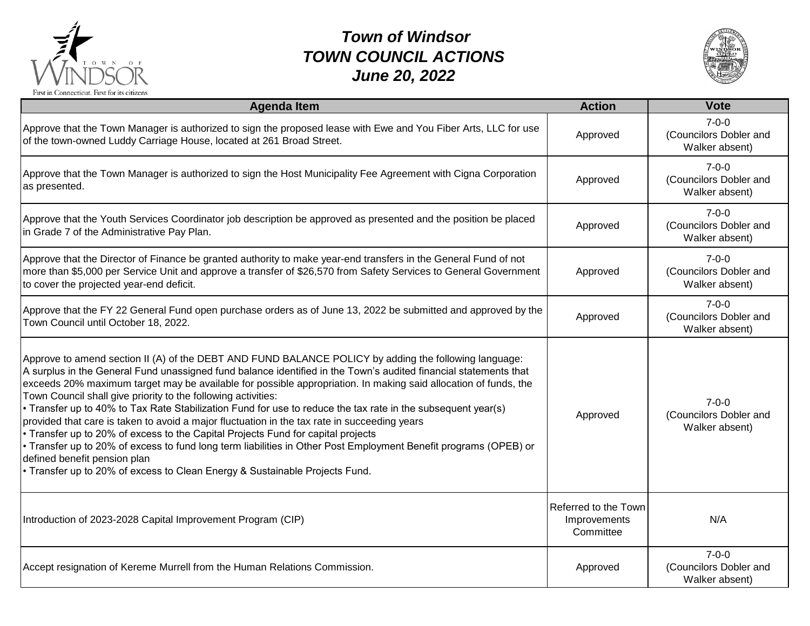

## *Town of Windsor TOWN COUNCIL ACTIONS June 20, 2022*



| <b>Agenda Item</b>                                                                                                                                                                                                                                                                                                                                                                                                                                                                                                                                                                                                                                                                                                                                                                                                                                                                                                                                 | <b>Action</b>                                     | <b>Vote</b>                                             |
|----------------------------------------------------------------------------------------------------------------------------------------------------------------------------------------------------------------------------------------------------------------------------------------------------------------------------------------------------------------------------------------------------------------------------------------------------------------------------------------------------------------------------------------------------------------------------------------------------------------------------------------------------------------------------------------------------------------------------------------------------------------------------------------------------------------------------------------------------------------------------------------------------------------------------------------------------|---------------------------------------------------|---------------------------------------------------------|
| Approve that the Town Manager is authorized to sign the proposed lease with Ewe and You Fiber Arts, LLC for use<br>of the town-owned Luddy Carriage House, located at 261 Broad Street.                                                                                                                                                                                                                                                                                                                                                                                                                                                                                                                                                                                                                                                                                                                                                            | Approved                                          | $7 - 0 - 0$<br>(Councilors Dobler and<br>Walker absent) |
| Approve that the Town Manager is authorized to sign the Host Municipality Fee Agreement with Cigna Corporation<br>as presented.                                                                                                                                                                                                                                                                                                                                                                                                                                                                                                                                                                                                                                                                                                                                                                                                                    | Approved                                          | $7 - 0 - 0$<br>(Councilors Dobler and<br>Walker absent) |
| Approve that the Youth Services Coordinator job description be approved as presented and the position be placed<br>in Grade 7 of the Administrative Pay Plan.                                                                                                                                                                                                                                                                                                                                                                                                                                                                                                                                                                                                                                                                                                                                                                                      | Approved                                          | $7 - 0 - 0$<br>(Councilors Dobler and<br>Walker absent) |
| Approve that the Director of Finance be granted authority to make year-end transfers in the General Fund of not<br>more than \$5,000 per Service Unit and approve a transfer of \$26,570 from Safety Services to General Government<br>to cover the projected year-end deficit.                                                                                                                                                                                                                                                                                                                                                                                                                                                                                                                                                                                                                                                                    | Approved                                          | $7 - 0 - 0$<br>(Councilors Dobler and<br>Walker absent) |
| Approve that the FY 22 General Fund open purchase orders as of June 13, 2022 be submitted and approved by the<br>Town Council until October 18, 2022.                                                                                                                                                                                                                                                                                                                                                                                                                                                                                                                                                                                                                                                                                                                                                                                              | Approved                                          | $7 - 0 - 0$<br>(Councilors Dobler and<br>Walker absent) |
| Approve to amend section II (A) of the DEBT AND FUND BALANCE POLICY by adding the following language:<br>A surplus in the General Fund unassigned fund balance identified in the Town's audited financial statements that<br>exceeds 20% maximum target may be available for possible appropriation. In making said allocation of funds, the<br>Town Council shall give priority to the following activities:<br>Transfer up to 40% to Tax Rate Stabilization Fund for use to reduce the tax rate in the subsequent year(s)<br>provided that care is taken to avoid a major fluctuation in the tax rate in succeeding years<br>• Transfer up to 20% of excess to the Capital Projects Fund for capital projects<br>• Transfer up to 20% of excess to fund long term liabilities in Other Post Employment Benefit programs (OPEB) or<br>defined benefit pension plan<br>• Transfer up to 20% of excess to Clean Energy & Sustainable Projects Fund. | Approved                                          | $7 - 0 - 0$<br>(Councilors Dobler and<br>Walker absent) |
| Introduction of 2023-2028 Capital Improvement Program (CIP)                                                                                                                                                                                                                                                                                                                                                                                                                                                                                                                                                                                                                                                                                                                                                                                                                                                                                        | Referred to the Town<br>Improvements<br>Committee | N/A                                                     |
| Accept resignation of Kereme Murrell from the Human Relations Commission.                                                                                                                                                                                                                                                                                                                                                                                                                                                                                                                                                                                                                                                                                                                                                                                                                                                                          | Approved                                          | $7 - 0 - 0$<br>(Councilors Dobler and<br>Walker absent) |